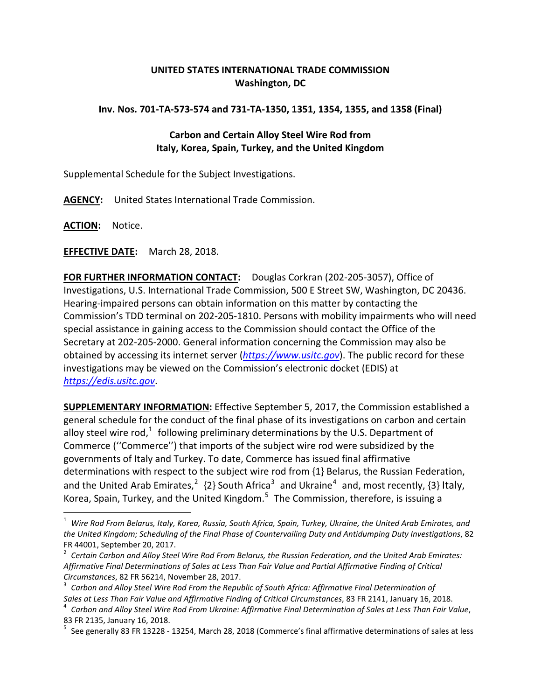## **UNITED STATES INTERNATIONAL TRADE COMMISSION Washington, DC**

## **Inv. Nos. 701-TA-573-574 and 731-TA-1350, 1351, 1354, 1355, and 1358 (Final)**

## **Carbon and Certain Alloy Steel Wire Rod from Italy, Korea, Spain, Turkey, and the United Kingdom**

Supplemental Schedule for the Subject Investigations.

**AGENCY:** United States International Trade Commission.

**ACTION:** Notice.

**EFFECTIVE DATE:** March 28, 2018.

**FOR FURTHER INFORMATION CONTACT:** Douglas Corkran (202-205-3057), Office of Investigations, U.S. International Trade Commission, 500 E Street SW, Washington, DC 20436. Hearing-impaired persons can obtain information on this matter by contacting the Commission's TDD terminal on 202-205-1810. Persons with mobility impairments who will need special assistance in gaining access to the Commission should contact the Office of the Secretary at 202-205-2000. General information concerning the Commission may also be obtained by accessing its internet server (*[https://www.usitc.gov](https://www.usitc.gov/)*). The public record for these investigations may be viewed on the Commission's electronic docket (EDIS) at *[https://edis.usitc.gov](https://edis.usitc.gov/)*.

**SUPPLEMENTARY INFORMATION:** Effective September 5, 2017, the Commission established a general schedule for the conduct of the final phase of its investigations on carbon and certain alloy steel wire rod,<sup>[1](#page-0-0)</sup> following preliminary determinations by the U.S. Department of Commerce (''Commerce'') that imports of the subject wire rod were subsidized by the governments of Italy and Turkey. To date, Commerce has issued final affirmative determinations with respect to the subject wire rod from {1} Belarus, the Russian Federation, and the United Arab Emirates,<sup>[2](#page-0-1)</sup> {2} South Africa<sup>[3](#page-0-2)</sup> and Ukraine<sup>[4](#page-0-3)</sup> and, most recently, {3} Italy, Korea, Spain, Turkey, and the United Kingdom.<sup>[5](#page-0-4)</sup> The Commission, therefore, is issuing a

<span id="page-0-0"></span><sup>1</sup> *Wire Rod From Belarus, Italy, Korea, Russia, South Africa, Spain, Turkey, Ukraine, the United Arab Emirates, and the United Kingdom; Scheduling of the Final Phase of Countervailing Duty and Antidumping Duty Investigations*, 82 FR 44001, September 20, 2017.<br><sup>2</sup> Certain Carbon and Alloy Steel Wire Rod From Belarus, the Russian Federation, and the United Arab Emirates:

<span id="page-0-1"></span>*Affirmative Final Determinations of Sales at Less Than Fair Value and Partial Affirmative Finding of Critical* 

<span id="page-0-2"></span>*Circumstances*, 82 FR 56214, November 28, 2017. <sup>3</sup> *Carbon and Alloy Steel Wire Rod From the Republic of South Africa: Affirmative Final Determination of*

<span id="page-0-3"></span>Carbon and Alloy Steel Wire Rod From Ukraine: Affirmative Final Determination of Sales at Less Than Fair Value,

<span id="page-0-4"></span><sup>83</sup> FR 2135, January 16, 2018.<br><sup>5</sup> See generally 83 FR 13228 - 13254, March 28, 2018 (Commerce's final affirmative determinations of sales at less